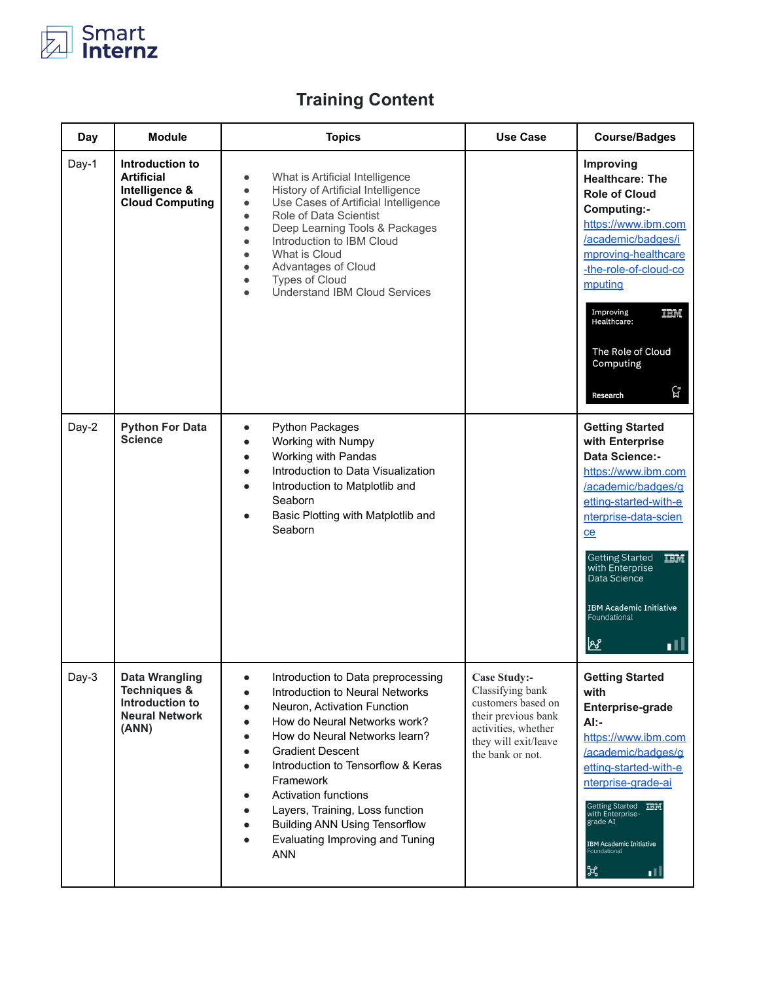

## **Training Content**

| Day   | <b>Module</b>                                                                                         | <b>Topics</b>                                                                                                                                                                                                                                                                                                                                                                                                                                                                         | <b>Use Case</b>                                                                                                                                         | <b>Course/Badges</b>                                                                                                                                                                                                                                                                                                    |
|-------|-------------------------------------------------------------------------------------------------------|---------------------------------------------------------------------------------------------------------------------------------------------------------------------------------------------------------------------------------------------------------------------------------------------------------------------------------------------------------------------------------------------------------------------------------------------------------------------------------------|---------------------------------------------------------------------------------------------------------------------------------------------------------|-------------------------------------------------------------------------------------------------------------------------------------------------------------------------------------------------------------------------------------------------------------------------------------------------------------------------|
| Day-1 | Introduction to<br><b>Artificial</b><br>Intelligence &<br><b>Cloud Computing</b>                      | What is Artificial Intelligence<br>$\bullet$<br>History of Artificial Intelligence<br>$\bullet$<br>Use Cases of Artificial Intelligence<br>$\bullet$<br>Role of Data Scientist<br>$\bullet$<br>Deep Learning Tools & Packages<br>$\bullet$<br>Introduction to IBM Cloud<br>$\bullet$<br>What is Cloud<br>$\bullet$<br>Advantages of Cloud<br>$\bullet$<br><b>Types of Cloud</b><br>$\bullet$<br><b>Understand IBM Cloud Services</b>                                                  |                                                                                                                                                         | Improving<br><b>Healthcare: The</b><br><b>Role of Cloud</b><br>Computing:-<br>https://www.ibm.com<br>/academic/badges/i<br>mproving-healthcare<br>-the-role-of-cloud-co<br>mputing<br>Improving<br>頂頂<br>Healthcare:<br>The Role of Cloud<br>Computing<br>ርቻ<br>Research                                                |
| Day-2 | <b>Python For Data</b><br><b>Science</b>                                                              | <b>Python Packages</b><br>$\bullet$<br>Working with Numpy<br>$\bullet$<br>Working with Pandas<br>$\bullet$<br>Introduction to Data Visualization<br>Introduction to Matplotlib and<br>Seaborn<br>Basic Plotting with Matplotlib and<br>Seaborn                                                                                                                                                                                                                                        |                                                                                                                                                         | <b>Getting Started</b><br>with Enterprise<br><b>Data Science:-</b><br>https://www.ibm.com<br>/academic/badges/g<br>etting-started-with-e<br>nterprise-data-scien<br>ce<br><b>Getting Started</b><br><b>TBM</b><br>with Enterprise<br>Data Science<br><b>IBM Academic Initiative</b><br>Foundational<br><u>lve</u><br>ıĦ |
| Day-3 | <b>Data Wrangling</b><br><b>Techniques &amp;</b><br>Introduction to<br><b>Neural Network</b><br>(ANN) | Introduction to Data preprocessing<br>Introduction to Neural Networks<br>$\bullet$<br>Neuron, Activation Function<br>How do Neural Networks work?<br>$\bullet$<br>How do Neural Networks learn?<br>$\bullet$<br><b>Gradient Descent</b><br>Introduction to Tensorflow & Keras<br>$\bullet$<br>Framework<br>Activation functions<br>$\bullet$<br>Layers, Training, Loss function<br>$\bullet$<br><b>Building ANN Using Tensorflow</b><br>Evaluating Improving and Tuning<br><b>ANN</b> | <b>Case Study:-</b><br>Classifying bank<br>customers based on<br>their previous bank<br>activities, whether<br>they will exit/leave<br>the bank or not. | <b>Getting Started</b><br>with<br>Enterprise-grade<br>Al:-<br>https://www.ibm.com<br>/academic/badges/g<br>etting-started-with-e<br>nterprise-grade-ai<br>Getting Started TBM<br>with Enterprise-<br>grade AI<br><b>IBM Academic Initiative</b><br>Foundational<br>$\mathcal{H}$<br>пU                                  |